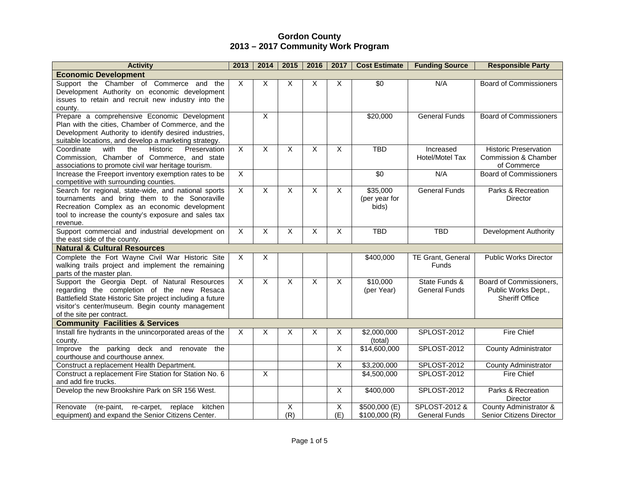| <b>Activity</b>                                                                                                                                                                                                                             | 2013                      | 2014           | 2015                    | 2016                    | 2017                    | <b>Cost Estimate</b>               | <b>Funding Source</b>                 | <b>Responsible Party</b>                                                |
|---------------------------------------------------------------------------------------------------------------------------------------------------------------------------------------------------------------------------------------------|---------------------------|----------------|-------------------------|-------------------------|-------------------------|------------------------------------|---------------------------------------|-------------------------------------------------------------------------|
| <b>Economic Development</b>                                                                                                                                                                                                                 |                           |                |                         |                         |                         |                                    |                                       |                                                                         |
| Support the Chamber of Commerce and<br>the<br>Development Authority on economic development<br>issues to retain and recruit new industry into the<br>county.                                                                                | X                         | X              | X                       | X                       | X                       | $\overline{30}$                    | N/A                                   | <b>Board of Commissioners</b>                                           |
| Prepare a comprehensive Economic Development<br>Plan with the cities, Chamber of Commerce, and the<br>Development Authority to identify desired industries,<br>suitable locations, and develop a marketing strategy.                        |                           | $\mathsf{X}$   |                         |                         |                         | \$20,000                           | <b>General Funds</b>                  | <b>Board of Commissioners</b>                                           |
| the<br><b>Historic</b><br>Preservation<br>Coordinate<br>with<br>Commission. Chamber of Commerce, and state<br>associations to promote civil war heritage tourism.                                                                           | $\times$                  | X              | $\sf X$                 | X                       | X                       | <b>TBD</b>                         | Increased<br>Hotel/Motel Tax          | <b>Historic Preservation</b><br>Commission & Chamber<br>of Commerce     |
| Increase the Freeport inventory exemption rates to be<br>competitive with surrounding counties.                                                                                                                                             | $\overline{X}$            |                |                         |                         |                         | \$0                                | N/A                                   | <b>Board of Commissioners</b>                                           |
| Search for regional, state-wide, and national sports<br>tournaments and bring them to the Sonoraville<br>Recreation Complex as an economic development<br>tool to increase the county's exposure and sales tax<br>revenue.                  | $\overline{X}$            | X              | $\overline{\mathsf{x}}$ | $\overline{\mathsf{x}}$ | $\overline{\mathsf{x}}$ | \$35,000<br>(per year for<br>bids) | <b>General Funds</b>                  | Parks & Recreation<br>Director                                          |
| Support commercial and industrial development on<br>the east side of the county.                                                                                                                                                            | $\times$                  | $\mathsf{X}$   | $\overline{\mathsf{x}}$ | X                       | $\overline{X}$          | <b>TBD</b>                         | <b>TBD</b>                            | <b>Development Authority</b>                                            |
| <b>Natural &amp; Cultural Resources</b>                                                                                                                                                                                                     |                           |                |                         |                         |                         |                                    |                                       |                                                                         |
| Complete the Fort Wayne Civil War Historic Site<br>walking trails project and implement the remaining<br>parts of the master plan.                                                                                                          | $\overline{X}$            | $\overline{X}$ |                         |                         |                         | \$400,000                          | <b>TE Grant, General</b><br>Funds     | <b>Public Works Director</b>                                            |
| Support the Georgia Dept. of Natural Resources<br>regarding the completion of the new Resaca<br>Battlefield State Historic Site project including a future<br>visitor's center/museum. Begin county management<br>of the site per contract. | $\times$                  | $\mathsf{X}$   | $\sf X$                 | $\overline{X}$          | $\overline{X}$          | \$10,000<br>(per Year)             | State Funds &<br><b>General Funds</b> | Board of Commissioners,<br>Public Works Dept.,<br><b>Sheriff Office</b> |
| <b>Community Facilities &amp; Services</b>                                                                                                                                                                                                  |                           |                |                         |                         |                         |                                    |                                       |                                                                         |
| Install fire hydrants in the unincorporated areas of the<br>county.                                                                                                                                                                         | $\boldsymbol{\mathsf{X}}$ | X              | X                       | X                       | X                       | \$2,000,000<br>(total)             | <b>SPLOST-2012</b>                    | <b>Fire Chief</b>                                                       |
| Improve the parking deck and<br>renovate<br>the<br>courthouse and courthouse annex.                                                                                                                                                         |                           |                |                         |                         | X                       | \$14,600,000                       | <b>SPLOST-2012</b>                    | <b>County Administrator</b>                                             |
| Construct a replacement Health Department.                                                                                                                                                                                                  |                           |                |                         |                         | X                       | \$3,200,000                        | SPLOST-2012                           | <b>County Administrator</b>                                             |
| Construct a replacement Fire Station for Station No. 6<br>and add fire trucks.                                                                                                                                                              |                           | $\mathsf{X}$   |                         |                         |                         | \$4,500,000                        | <b>SPLOST-2012</b>                    | Fire Chief                                                              |
| Develop the new Brookshire Park on SR 156 West.                                                                                                                                                                                             |                           |                |                         |                         | $\overline{X}$          | \$400,000                          | <b>SPLOST-2012</b>                    | Parks & Recreation<br>Director                                          |
| Renovate<br>(re-paint,<br>re-carpet,<br>replace<br>kitchen<br>equipment) and expand the Senior Citizens Center.                                                                                                                             |                           |                | X<br>(R)                |                         | X<br>(E)                | \$500,000 (E)<br>\$100,000 (R)     | SPLOST-2012 &<br><b>General Funds</b> | County Administrator &<br><b>Senior Citizens Director</b>               |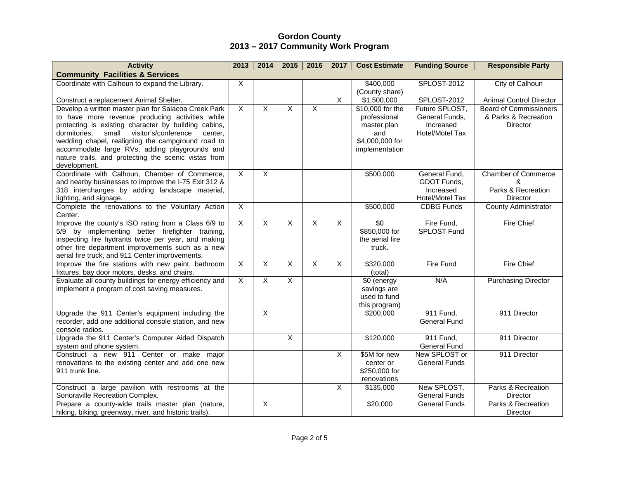| <b>Activity</b>                                                                                       | 2013           | 2014                    | 2015           | 2016                    | 2017           | <b>Cost Estimate</b>         | <b>Funding Source</b>                | <b>Responsible Party</b>      |
|-------------------------------------------------------------------------------------------------------|----------------|-------------------------|----------------|-------------------------|----------------|------------------------------|--------------------------------------|-------------------------------|
| <b>Community Facilities &amp; Services</b>                                                            |                |                         |                |                         |                |                              |                                      |                               |
| Coordinate with Calhoun to expand the Library.                                                        | X              |                         |                |                         |                | \$400,000<br>(County share)  | <b>SPLOST-2012</b>                   | City of Calhoun               |
| Construct a replacement Animal Shelter.                                                               |                |                         |                |                         | $\overline{X}$ | \$1,500,000                  | SPLOST-2012                          | Animal Control Director       |
| Develop a written master plan for Salacoa Creek Park                                                  | $\overline{X}$ | $\overline{\mathsf{x}}$ | $\overline{X}$ | $\overline{X}$          |                | $\overline{$10,000}$ for the | Future SPLOST,                       | <b>Board of Commissioners</b> |
| to have more revenue producing activities while                                                       |                |                         |                |                         |                | professional                 | General Funds,                       | & Parks & Recreation          |
| protecting is existing character by building cabins,                                                  |                |                         |                |                         |                | master plan                  | Increased                            | <b>Director</b>               |
| small visitor's/conference<br>dormitories.<br>center.                                                 |                |                         |                |                         |                | and                          | Hotel/Motel Tax                      |                               |
| wedding chapel, realigning the campground road to                                                     |                |                         |                |                         |                | \$4,000,000 for              |                                      |                               |
| accommodate large RVs, adding playgrounds and                                                         |                |                         |                |                         |                | implementation               |                                      |                               |
| nature trails, and protecting the scenic vistas from                                                  |                |                         |                |                         |                |                              |                                      |                               |
| development.<br>Coordinate with Calhoun, Chamber of Commerce,                                         | $\overline{X}$ | $\overline{\mathsf{x}}$ |                |                         |                |                              | General Fund,                        | <b>Chamber of Commerce</b>    |
| and nearby businesses to improve the I-75 Exit 312 &                                                  |                |                         |                |                         |                | \$500,000                    | GDOT Funds,                          | &                             |
| 318 interchanges by adding landscape material,                                                        |                |                         |                |                         |                |                              | Increased                            | Parks & Recreation            |
| lighting, and signage.                                                                                |                |                         |                |                         |                |                              | Hotel/Motel Tax                      | Director                      |
| Complete the renovations to the Voluntary Action                                                      | $\overline{X}$ |                         |                |                         |                | \$500,000                    | <b>CDBG Funds</b>                    | <b>County Administrator</b>   |
| Center.                                                                                               |                |                         |                |                         |                |                              |                                      |                               |
| Improve the county's ISO rating from a Class 6/9 to                                                   | $\overline{X}$ | $\overline{\mathsf{x}}$ | $\overline{X}$ | $\overline{\mathsf{x}}$ | $\overline{X}$ | $\overline{30}$              | Fire Fund,                           | <b>Fire Chief</b>             |
| 5/9 by implementing better firefighter training,                                                      |                |                         |                |                         |                | \$850,000 for                | <b>SPLOST Fund</b>                   |                               |
| inspecting fire hydrants twice per year, and making                                                   |                |                         |                |                         |                | the aerial fire              |                                      |                               |
| other fire department improvements such as a new                                                      |                |                         |                |                         |                | truck.                       |                                      |                               |
| aerial fire truck, and 911 Center improvements.<br>Improve the fire stations with new paint, bathroom | $\overline{X}$ | $\sf X$                 | $\overline{X}$ | X                       | $\overline{X}$ |                              | Fire Fund                            | <b>Fire Chief</b>             |
| fixtures, bay door motors, desks, and chairs.                                                         |                |                         |                |                         |                | \$320,000<br>(total)         |                                      |                               |
| Evaluate all county buildings for energy efficiency and                                               | $\mathsf{X}$   | X                       | $\sf X$        |                         |                | \$0 (energy                  | N/A                                  | <b>Purchasing Director</b>    |
| implement a program of cost saving measures.                                                          |                |                         |                |                         |                | savings are                  |                                      |                               |
|                                                                                                       |                |                         |                |                         |                | used to fund                 |                                      |                               |
|                                                                                                       |                |                         |                |                         |                | this program)                |                                      |                               |
| Upgrade the 911 Center's equipment including the                                                      |                | $\overline{\mathsf{x}}$ |                |                         |                | \$200,000                    | 911 Fund,                            | 911 Director                  |
| recorder, add one additional console station, and new                                                 |                |                         |                |                         |                |                              | <b>General Fund</b>                  |                               |
| console radios.                                                                                       |                |                         |                |                         |                |                              |                                      |                               |
| Upgrade the 911 Center's Computer Aided Dispatch                                                      |                |                         | $\overline{X}$ |                         |                | \$120,000                    | 911 Fund,                            | 911 Director                  |
| system and phone system.<br>Construct a new 911 Center or make major                                  |                |                         |                |                         | $\overline{X}$ | \$5M for new                 | <b>General Fund</b><br>New SPLOST or | 911 Director                  |
| renovations to the existing center and add one new                                                    |                |                         |                |                         |                | center or                    | <b>General Funds</b>                 |                               |
| 911 trunk line.                                                                                       |                |                         |                |                         |                | \$250,000 for                |                                      |                               |
|                                                                                                       |                |                         |                |                         |                | renovations                  |                                      |                               |
| Construct a large pavilion with restrooms at the                                                      |                |                         |                |                         | $\overline{X}$ | \$135,000                    | New SPLOST,                          | Parks & Recreation            |
| Sonoraville Recreation Complex.                                                                       |                |                         |                |                         |                |                              | <b>General Funds</b>                 | Director                      |
| Prepare a county-wide trails master plan (nature,                                                     |                | $\overline{\mathsf{x}}$ |                |                         |                | \$20,000                     | <b>General Funds</b>                 | Parks & Recreation            |
| hiking, biking, greenway, river, and historic trails).                                                |                |                         |                |                         |                |                              |                                      | Director                      |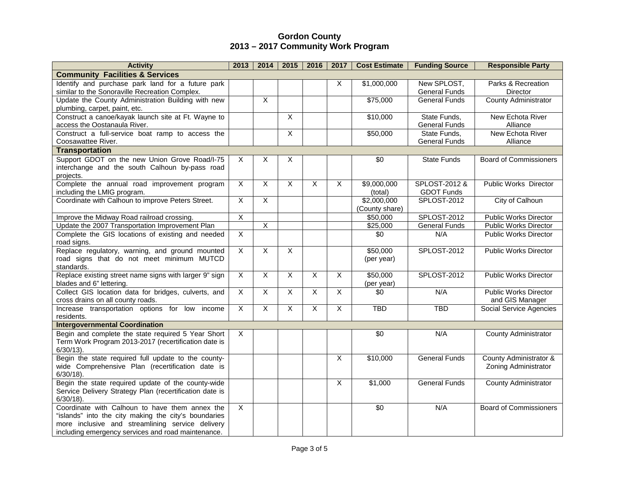| <b>Activity</b>                                                                  | 2013                      | 2014                    | 2015           | 2016           | 2017           | <b>Cost Estimate</b>          | <b>Funding Source</b>                | <b>Responsible Party</b>       |
|----------------------------------------------------------------------------------|---------------------------|-------------------------|----------------|----------------|----------------|-------------------------------|--------------------------------------|--------------------------------|
| <b>Community Facilities &amp; Services</b>                                       |                           |                         |                |                |                |                               |                                      |                                |
| Identify and purchase park land for a future park                                |                           |                         |                |                | X              | \$1,000,000                   | New SPLOST,                          | Parks & Recreation             |
| similar to the Sonoraville Recreation Complex.                                   |                           |                         |                |                |                |                               | <b>General Funds</b>                 | Director                       |
| Update the County Administration Building with new                               |                           | $\overline{\mathsf{x}}$ |                |                |                | \$75,000                      | <b>General Funds</b>                 | <b>County Administrator</b>    |
| plumbing, carpet, paint, etc.                                                    |                           |                         |                |                |                |                               |                                      |                                |
| Construct a canoe/kayak launch site at Ft. Wayne to                              |                           |                         | $\overline{X}$ |                |                | \$10,000                      | State Funds,                         | New Echota River               |
| access the Oostanaula River.                                                     |                           |                         |                |                |                |                               | <b>General Funds</b>                 | Alliance                       |
| Construct a full-service boat ramp to access the                                 |                           |                         | $\overline{X}$ |                |                | \$50,000                      | State Funds,<br><b>General Funds</b> | New Echota River               |
| Coosawattee River.<br><b>Transportation</b>                                      |                           |                         |                |                |                |                               |                                      | Alliance                       |
| Support GDOT on the new Union Grove Road/I-75                                    | $\boldsymbol{\mathsf{X}}$ | X                       | X              |                |                | $\overline{30}$               | <b>State Funds</b>                   | <b>Board of Commissioners</b>  |
| interchange and the south Calhoun by-pass road                                   |                           |                         |                |                |                |                               |                                      |                                |
| projects.                                                                        |                           |                         |                |                |                |                               |                                      |                                |
| Complete the annual road improvement program                                     | $\overline{X}$            | $\overline{X}$          | $\sf X$        | X              | $\overline{X}$ | \$9,000,000                   | SPLOST-2012 &                        | <b>Public Works Director</b>   |
| including the LMIG program.                                                      |                           |                         |                |                |                | (total)                       | <b>GDOT Funds</b>                    |                                |
| Coordinate with Calhoun to improve Peters Street.                                | $\overline{X}$            | $\overline{X}$          |                |                |                | \$2,000,000                   | <b>SPLOST-2012</b>                   | City of Calhoun                |
|                                                                                  |                           |                         |                |                |                | (County share)                |                                      |                                |
| Improve the Midway Road railroad crossing.                                       | $\overline{\mathsf{x}}$   |                         |                |                |                | \$50,000                      | <b>SPLOST-2012</b>                   | <b>Public Works Director</b>   |
| Update the 2007 Transportation Improvement Plan                                  |                           | $\overline{\mathsf{X}}$ |                |                |                | \$25,000                      | <b>General Funds</b>                 | <b>Public Works Director</b>   |
| Complete the GIS locations of existing and needed                                | $\overline{X}$            |                         |                |                |                | $\overline{30}$               | N/A                                  | <b>Public Works Director</b>   |
| road signs.                                                                      |                           |                         |                |                |                |                               |                                      |                                |
| Replace regulatory, warning, and ground mounted                                  | $\mathsf{X}$              | $\mathsf{X}$            | $\mathsf{X}$   |                |                | \$50,000                      | SPLOST-2012                          | Public Works Director          |
| road signs that do not meet minimum MUTCD                                        |                           |                         |                |                |                | (per year)                    |                                      |                                |
| standards.                                                                       |                           |                         |                |                |                |                               |                                      |                                |
| Replace existing street name signs with larger 9" sign                           | $\mathsf{X}$              | $\mathsf{X}$            | $\mathsf{X}$   | $\overline{X}$ | $\mathsf{X}$   | \$50,000                      | SPLOST-2012                          | <b>Public Works Director</b>   |
| blades and 6" lettering.<br>Collect GIS location data for bridges, culverts, and | $\overline{X}$            | $\overline{X}$          | $\overline{X}$ | $\overline{X}$ | $\overline{X}$ | (per year)<br>$\overline{30}$ | N/A                                  | <b>Public Works Director</b>   |
| cross drains on all county roads.                                                |                           |                         |                |                |                |                               |                                      | and GIS Manager                |
| Increase transportation options for low income                                   | $\overline{X}$            | $\overline{X}$          | $\overline{X}$ | $\overline{X}$ | $\overline{X}$ | <b>TBD</b>                    | <b>TBD</b>                           | <b>Social Service Agencies</b> |
| residents.                                                                       |                           |                         |                |                |                |                               |                                      |                                |
| <b>Intergovernmental Coordination</b>                                            |                           |                         |                |                |                |                               |                                      |                                |
| Begin and complete the state required 5 Year Short                               | $\times$                  |                         |                |                |                | $\sqrt{6}$                    | N/A                                  | <b>County Administrator</b>    |
| Term Work Program 2013-2017 (recertification date is                             |                           |                         |                |                |                |                               |                                      |                                |
| $6/30/13$ ).                                                                     |                           |                         |                |                |                |                               |                                      |                                |
| Begin the state required full update to the county-                              |                           |                         |                |                | $\overline{X}$ | \$10,000                      | <b>General Funds</b>                 | County Administrator &         |
| wide Comprehensive Plan (recertification date is                                 |                           |                         |                |                |                |                               |                                      | Zoning Administrator           |
| $6/30/18$ ).                                                                     |                           |                         |                |                |                |                               |                                      |                                |
| Begin the state required update of the county-wide                               |                           |                         |                |                | X              | \$1,000                       | <b>General Funds</b>                 | <b>County Administrator</b>    |
| Service Delivery Strategy Plan (recertification date is                          |                           |                         |                |                |                |                               |                                      |                                |
| $6/30/18$ ).<br>Coordinate with Calhoun to have them annex the                   | $\mathsf{X}$              |                         |                |                |                | \$0                           | N/A                                  | <b>Board of Commissioners</b>  |
| "islands" into the city making the city's boundaries                             |                           |                         |                |                |                |                               |                                      |                                |
| more inclusive and streamlining service delivery                                 |                           |                         |                |                |                |                               |                                      |                                |
| including emergency services and road maintenance.                               |                           |                         |                |                |                |                               |                                      |                                |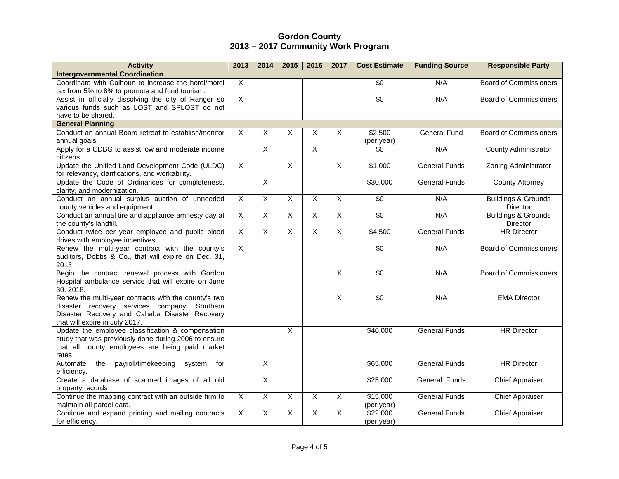| <b>Activity</b>                                                                                                                                                                          | 2013                      | 2014           | 2015                      | 2016           | 2017           | <b>Cost Estimate</b>   | <b>Funding Source</b> | <b>Responsible Party</b>                   |
|------------------------------------------------------------------------------------------------------------------------------------------------------------------------------------------|---------------------------|----------------|---------------------------|----------------|----------------|------------------------|-----------------------|--------------------------------------------|
| <b>Intergovernmental Coordination</b>                                                                                                                                                    |                           |                |                           |                |                |                        |                       |                                            |
| Coordinate with Calhoun to increase the hotel/motel<br>tax from 5% to 8% to promote and fund tourism.                                                                                    | $\times$                  |                |                           |                |                | $\overline{30}$        | N/A                   | <b>Board of Commissioners</b>              |
| Assist in officially dissolving the city of Ranger so                                                                                                                                    | $\overline{X}$            |                |                           |                |                | \$0                    | N/A                   | <b>Board of Commissioners</b>              |
| various funds such as LOST and SPLOST do not<br>have to be shared.                                                                                                                       |                           |                |                           |                |                |                        |                       |                                            |
| <b>General Planning</b>                                                                                                                                                                  |                           |                |                           |                |                |                        |                       |                                            |
| Conduct an annual Board retreat to establish/monitor                                                                                                                                     | $\boldsymbol{\mathsf{X}}$ | X              | $\boldsymbol{\mathsf{X}}$ | X              | X              | \$2,500                | <b>General Fund</b>   | <b>Board of Commissioners</b>              |
| annual goals.                                                                                                                                                                            |                           |                |                           |                |                | (per year)             |                       |                                            |
| Apply for a CDBG to assist low and moderate income<br>citizens.                                                                                                                          |                           | $\overline{X}$ |                           | $\overline{X}$ |                | \$0                    | N/A                   | <b>County Administrator</b>                |
| Update the Unified Land Development Code (ULDC)<br>for relevancy, clarifications, and workability.                                                                                       | $\overline{X}$            |                | $\overline{X}$            |                | $\overline{X}$ | \$1,000                | <b>General Funds</b>  | Zoning Administrator                       |
| Update the Code of Ordinances for completeness,<br>clarity, and modernization.                                                                                                           |                           | $\overline{X}$ |                           |                |                | \$30,000               | <b>General Funds</b>  | <b>County Attorney</b>                     |
| Conduct an annual surplus auction of unneeded<br>county vehicles and equipment.                                                                                                          | $\mathsf{X}$              | $\overline{X}$ | $\boldsymbol{\mathsf{X}}$ | X              | X              | $\overline{30}$        | N/A                   | <b>Buildings &amp; Grounds</b><br>Director |
| Conduct an annual tire and appliance amnesty day at<br>the county's landfill.                                                                                                            | $\overline{X}$            | $\overline{X}$ | $\overline{X}$            | $\overline{X}$ | $\overline{X}$ | \$0                    | N/A                   | <b>Buildings &amp; Grounds</b><br>Director |
| Conduct twice per year employee and public blood<br>drives with employee incentives.                                                                                                     | $\mathsf{X}$              | $\mathsf{X}$   | $\mathsf{X}$              | $\overline{X}$ | $\mathsf{X}$   | \$4,500                | <b>General Funds</b>  | <b>HR Director</b>                         |
| Renew the multi-year contract with the county's<br>auditors, Dobbs & Co., that will expire on Dec. 31,<br>2013.                                                                          | $\overline{X}$            |                |                           |                |                | $\overline{30}$        | N/A                   | <b>Board of Commissioners</b>              |
| Begin the contract renewal process with Gordon<br>Hospital ambulance service that will expire on June<br>30, 2018.                                                                       |                           |                |                           |                | $\overline{X}$ | $\overline{30}$        | N/A                   | <b>Board of Commissioners</b>              |
| Renew the multi-year contracts with the county's two<br>disaster recovery services company, Southern<br>Disaster Recovery and Cahaba Disaster Recovery<br>that will expire in July 2017. |                           |                |                           |                | $\overline{X}$ | $\overline{30}$        | N/A                   | <b>EMA Director</b>                        |
| Update the employee classification & compensation<br>study that was previously done during 2006 to ensure<br>that all county employees are being paid market<br>rates.                   |                           |                | $\overline{X}$            |                |                | \$40,000               | <b>General Funds</b>  | <b>HR</b> Director                         |
| Automate<br>the<br>payroll/timekeeping<br>for<br>system<br>efficiency.                                                                                                                   |                           | $\overline{X}$ |                           |                |                | \$65,000               | <b>General Funds</b>  | <b>HR Director</b>                         |
| Create a database of scanned images of all old<br>property records                                                                                                                       |                           | $\overline{X}$ |                           |                |                | \$25,000               | <b>General Funds</b>  | <b>Chief Appraiser</b>                     |
| Continue the mapping contract with an outside firm to<br>maintain all parcel data.                                                                                                       | $\mathsf{X}$              | X              | $\mathsf{X}$              | X              | $\overline{X}$ | \$15,000<br>(per year) | <b>General Funds</b>  | <b>Chief Appraiser</b>                     |
| Continue and expand printing and mailing contracts<br>for efficiency.                                                                                                                    | $\overline{X}$            | $\overline{X}$ | $\overline{\mathsf{x}}$   | X              | $\overline{X}$ | \$22,000<br>(per year) | <b>General Funds</b>  | <b>Chief Appraiser</b>                     |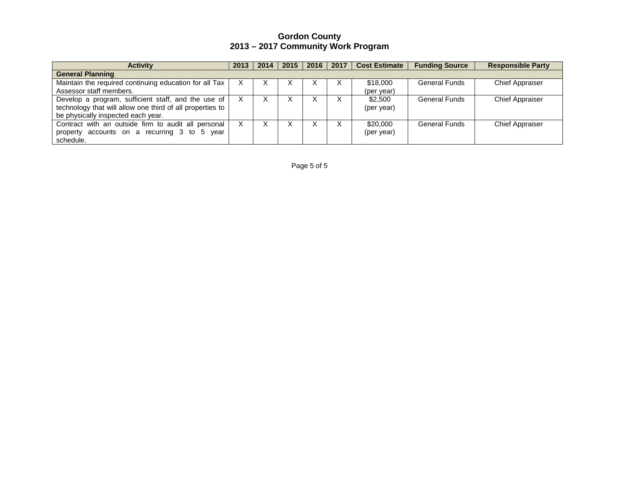| <b>Activity</b>                                           | 2013 | 2014 | 2015 | 2016 | 2017 | <b>Cost Estimate</b> | <b>Funding Source</b> | <b>Responsible Party</b> |
|-----------------------------------------------------------|------|------|------|------|------|----------------------|-----------------------|--------------------------|
| <b>General Planning</b>                                   |      |      |      |      |      |                      |                       |                          |
| Maintain the required continuing education for all Tax    |      | х    |      | ᄉ    | X    | \$18,000             | <b>General Funds</b>  | <b>Chief Appraiser</b>   |
| Assessor staff members.                                   |      |      |      |      |      | (per year)           |                       |                          |
| Develop a program, sufficient staff, and the use of       |      |      |      | ⋏    |      | \$2,500              | <b>General Funds</b>  | <b>Chief Appraiser</b>   |
| technology that will allow one third of all properties to |      |      |      |      |      | (per year)           |                       |                          |
| be physically inspected each year.                        |      |      |      |      |      |                      |                       |                          |
| Contract with an outside firm to audit all personal       | X.   | х    |      | х    | X    | \$20,000             | General Funds         | <b>Chief Appraiser</b>   |
| accounts on a recurring 3 to 5 year<br>property           |      |      |      |      |      | (per year)           |                       |                          |
| schedule.                                                 |      |      |      |      |      |                      |                       |                          |

Page 5 of 5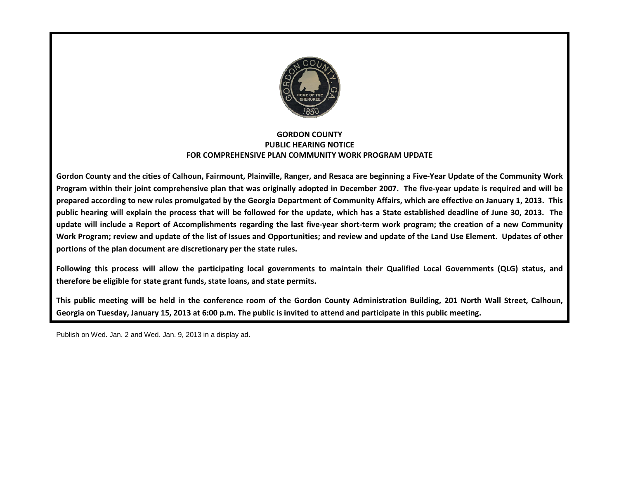

### FOR COMPREHENSIVE PLANPLAN COMMUNITY WORK PROGRAM UPDATE GORDON COUNTY PUBLIC HEARING NOTICE

Gordon County and the cities of Calhoun, Fairmount, Plainville, Ranger, and Resaca are beginning a Five-Year Update of the Community Work Program within their joint comprehensive plan that was originally adopted in December 2007. The five-year update is r prepared according to new rules promulgated by the Georgia Department of Community Affairs, which are effective on January 1, 2013. This prepared according to new rules promulgated by the Georgia Department of Community Affairs, which are effective on January 1, 2013. This<br>public hearing will explain the process that will be followed for the update, which h update will include a Report of Accomplishments regarding the last five-year short-term work program; the creation of a new Community Work Program; review and update of the list of Issues and Opportunities; and review and update of the Land Use Element. Updates of other portions of the plan document are discretionary per the state rules. County and the cities of Calhoun, Fairmount, Plainville, Ranger, and Resaca are beginning a Five-Year Update of the Community Work<br>The within their joint comprehensive plan that was originally adopted in December 2007. The ch has a State established deadline of June 30, 2013. The<br>ort-term work program; the creation of a new Community<br>iew and update of the Land Use Element. Updates of other<br>tain their Qualified Local Governments (QLG) status,

Following this process will allow the participating local governments to maintain their Qualified Local Governments (QLG) status, and therefore be eligible for state grant funds, state loans, and state permits. Following this process will allow the participating local governments to maintain their Qualified Local Governments (QLG) status, and<br>therefore be eligible for state grant funds, state loans, and state permits.<br>This public

Georgia on Tuesday, January 15, 2013 at 6:00 p.m. The public is invited to attend and participate in this public meeting. The

Publish on Wed. Jan. 2 and Wed. Jan. 9, 2013 in a display ad.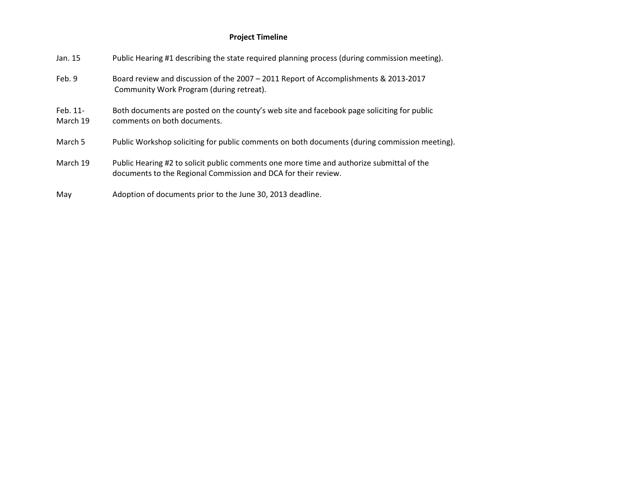### Project Timeline

| Jan. 15              | Public Hearing #1 describing the state required planning process (during commission meeting).                                                               |
|----------------------|-------------------------------------------------------------------------------------------------------------------------------------------------------------|
| Feb. 9               | Board review and discussion of the 2007 - 2011 Report of Accomplishments & 2013-2017<br>Community Work Program (during retreat).                            |
| Feb. 11-<br>March 19 | Both documents are posted on the county's web site and facebook page soliciting for public<br>comments on both documents.                                   |
| March 5              | Public Workshop soliciting for public comments on both documents (during commission meeting).                                                               |
| March 19             | Public Hearing #2 to solicit public comments one more time and authorize submittal of the<br>documents to the Regional Commission and DCA for their review. |
| May                  | Adoption of documents prior to the June 30, 2013 deadline.                                                                                                  |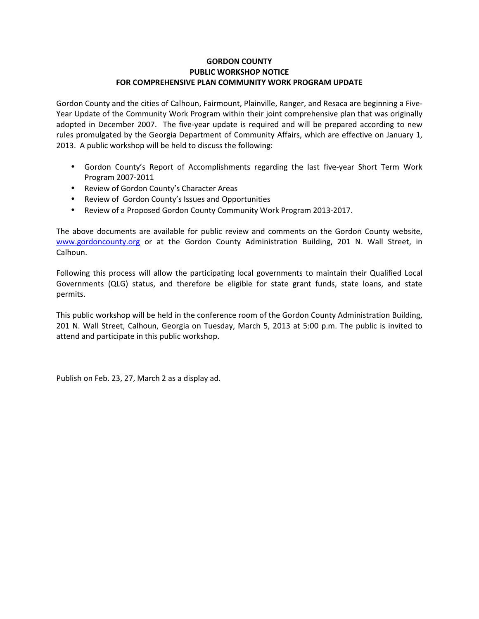### GORDON COUNTY PUBLIC WORKSHOP NOTICE FOR COMPREHENSIVE PLAN COMMUNITY WORK PROGRAM UPDATE

Gordon County and the cities of Calhoun, Fairmount, Plainville, Ranger, and Resaca are beginning a Five-Year Update of the Community Work Program within their joint comprehensive plan that was originally adopted in December 2007. The five-year update is required and will be prepared according to new rules promulgated by the Georgia Department of Community Affairs, which are effective on January 1, 2013. A public workshop will be held to discuss the following:

- Gordon County's Report of Accomplishments regarding the last five-year Short Term Work Program 2007-2011
- Review of Gordon County's Character Areas
- Review of Gordon County's Issues and Opportunities
- Review of a Proposed Gordon County Community Work Program 2013-2017.

The above documents are available for public review and comments on the Gordon County website, www.gordoncounty.org or at the Gordon County Administration Building, 201 N. Wall Street, in Calhoun.

Following this process will allow the participating local governments to maintain their Qualified Local Governments (QLG) status, and therefore be eligible for state grant funds, state loans, and state permits.

This public workshop will be held in the conference room of the Gordon County Administration Building, 201 N. Wall Street, Calhoun, Georgia on Tuesday, March 5, 2013 at 5:00 p.m. The public is invited to attend and participate in this public workshop.

Publish on Feb. 23, 27, March 2 as a display ad.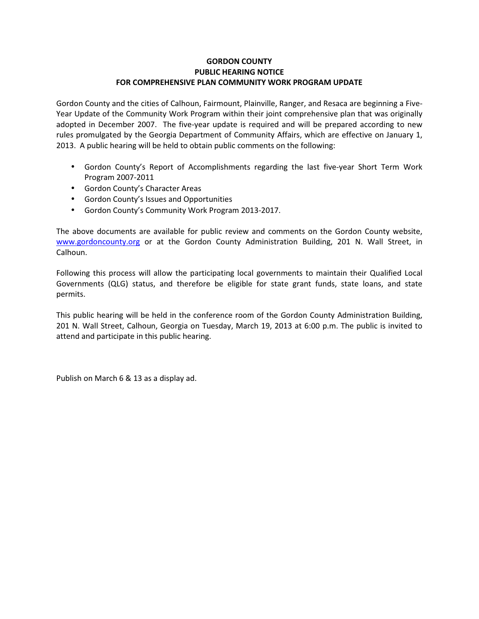### GORDON COUNTY PUBLIC HEARING NOTICE FOR COMPREHENSIVE PLAN COMMUNITY WORK PROGRAM UPDATE

Gordon County and the cities of Calhoun, Fairmount, Plainville, Ranger, and Resaca are beginning a Five-Year Update of the Community Work Program within their joint comprehensive plan that was originally adopted in December 2007. The five-year update is required and will be prepared according to new rules promulgated by the Georgia Department of Community Affairs, which are effective on January 1, 2013. A public hearing will be held to obtain public comments on the following:

- Gordon County's Report of Accomplishments regarding the last five-year Short Term Work Program 2007-2011
- Gordon County's Character Areas
- Gordon County's Issues and Opportunities
- Gordon County's Community Work Program 2013-2017.

The above documents are available for public review and comments on the Gordon County website, www.gordoncounty.org or at the Gordon County Administration Building, 201 N. Wall Street, in Calhoun.

Following this process will allow the participating local governments to maintain their Qualified Local Governments (QLG) status, and therefore be eligible for state grant funds, state loans, and state permits.

This public hearing will be held in the conference room of the Gordon County Administration Building, 201 N. Wall Street, Calhoun, Georgia on Tuesday, March 19, 2013 at 6:00 p.m. The public is invited to attend and participate in this public hearing.

Publish on March 6 & 13 as a display ad.